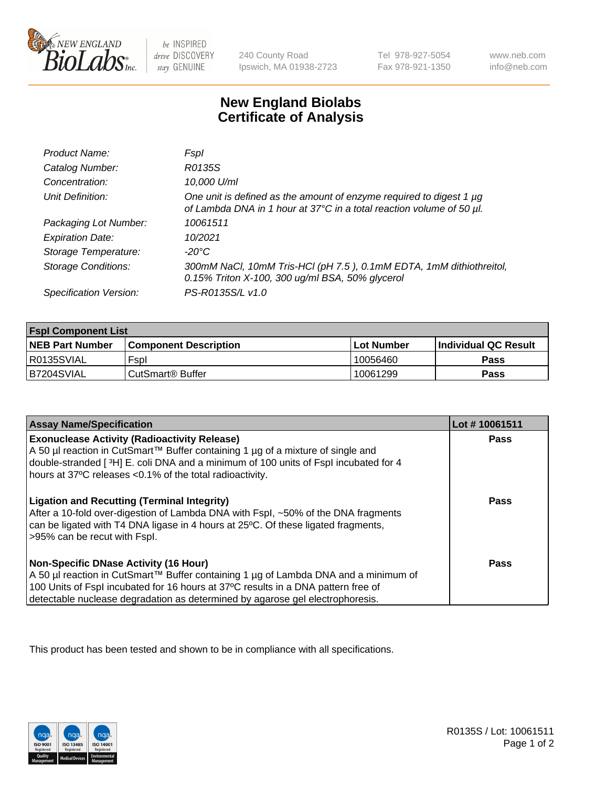

 $be$  INSPIRED drive DISCOVERY stay GENUINE

240 County Road Ipswich, MA 01938-2723 Tel 978-927-5054 Fax 978-921-1350 www.neb.com info@neb.com

## **New England Biolabs Certificate of Analysis**

| Product Name:              | Fspl                                                                                                                                        |
|----------------------------|---------------------------------------------------------------------------------------------------------------------------------------------|
| Catalog Number:            | R0135S                                                                                                                                      |
| Concentration:             | 10,000 U/ml                                                                                                                                 |
| Unit Definition:           | One unit is defined as the amount of enzyme required to digest 1 µg<br>of Lambda DNA in 1 hour at 37°C in a total reaction volume of 50 µl. |
| Packaging Lot Number:      | 10061511                                                                                                                                    |
| <b>Expiration Date:</b>    | 10/2021                                                                                                                                     |
| Storage Temperature:       | -20°C                                                                                                                                       |
| <b>Storage Conditions:</b> | 300mM NaCl, 10mM Tris-HCl (pH 7.5), 0.1mM EDTA, 1mM dithiothreitol,<br>0.15% Triton X-100, 300 ug/ml BSA, 50% glycerol                      |
| Specification Version:     | PS-R0135S/L v1.0                                                                                                                            |

| <b>Fspl Component List</b> |                              |                   |                             |  |  |
|----------------------------|------------------------------|-------------------|-----------------------------|--|--|
| <b>NEB Part Number</b>     | <b>Component Description</b> | <b>Lot Number</b> | <b>Individual QC Result</b> |  |  |
| R0135SVIAL                 | Fspl                         | 10056460          | Pass                        |  |  |
| B7204SVIAL                 | ' CutSmart® Buffer_          | 10061299          | Pass                        |  |  |

| <b>Assay Name/Specification</b>                                                                                                                                                                                                                                                                           | Lot #10061511 |
|-----------------------------------------------------------------------------------------------------------------------------------------------------------------------------------------------------------------------------------------------------------------------------------------------------------|---------------|
| <b>Exonuclease Activity (Radioactivity Release)</b><br>A 50 µl reaction in CutSmart™ Buffer containing 1 µg of a mixture of single and<br>double-stranded [3H] E. coli DNA and a minimum of 100 units of Fspl incubated for 4<br>hours at 37°C releases <0.1% of the total radioactivity.                 | Pass          |
| <b>Ligation and Recutting (Terminal Integrity)</b><br>After a 10-fold over-digestion of Lambda DNA with Fspl, ~50% of the DNA fragments<br>can be ligated with T4 DNA ligase in 4 hours at 25°C. Of these ligated fragments,<br>>95% can be recut with Fspl.                                              | Pass          |
| <b>Non-Specific DNase Activity (16 Hour)</b><br>A 50 µl reaction in CutSmart™ Buffer containing 1 µg of Lambda DNA and a minimum of<br>100 Units of Fspl incubated for 16 hours at 37°C results in a DNA pattern free of<br>detectable nuclease degradation as determined by agarose gel electrophoresis. | Pass          |

This product has been tested and shown to be in compliance with all specifications.